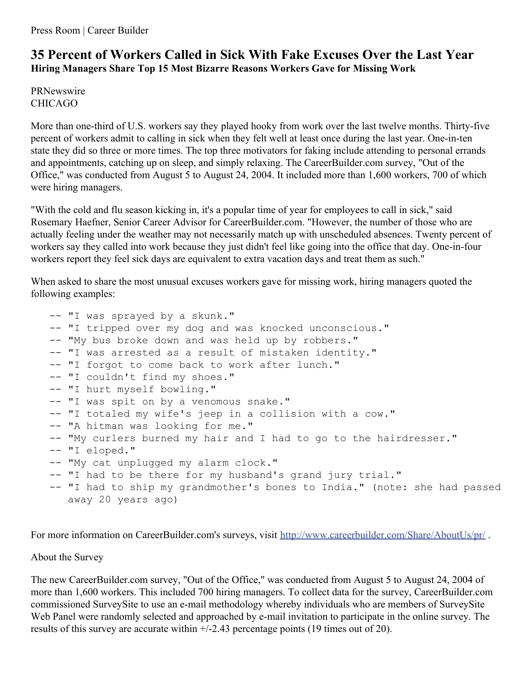## **35 Percent of Workers Called in Sick With Fake Excuses Over the Last Year Hiring Managers Share Top 15 Most Bizarre Reasons Workers Gave for Missing Work**

PRNewswire CHICAGO

More than one-third of U.S. workers say they played hooky from work over the last twelve months. Thirty-five percent of workers admit to calling in sick when they felt well at least once during the last year. One-in-ten state they did so three or more times. The top three motivators for faking include attending to personal errands and appointments, catching up on sleep, and simply relaxing. The CareerBuilder.com survey, "Out of the Office," was conducted from August 5 to August 24, 2004. It included more than 1,600 workers, 700 of which were hiring managers.

"With the cold and flu season kicking in, it's a popular time of year for employees to call in sick," said Rosemary Haefner, Senior Career Advisor for CareerBuilder.com. "However, the number of those who are actually feeling under the weather may not necessarily match up with unscheduled absences. Twenty percent of workers say they called into work because they just didn't feel like going into the office that day. One-in-four workers report they feel sick days are equivalent to extra vacation days and treat them as such."

When asked to share the most unusual excuses workers gave for missing work, hiring managers quoted the following examples:

```
-- "I was sprayed by a skunk."
-- "I tripped over my dog and was knocked unconscious."
-- "My bus broke down and was held up by robbers."
-- "I was arrested as a result of mistaken identity."
-- "I forgot to come back to work after lunch."
-- "I couldn't find my shoes."
-- "I hurt myself bowling."
-- "I was spit on by a venomous snake."
-- "I totaled my wife's jeep in a collision with a cow."
-- "A hitman was looking for me."
-- "My curlers burned my hair and I had to go to the hairdresser."
-- "I eloped."
-- "My cat unplugged my alarm clock."
-- "I had to be there for my husband's grand jury trial."
-- "I had to ship my grandmother's bones to India." (note: she had passed
  away 20 years ago)
```
For more information on CareerBuilder.com's surveys, visit <http://www.careerbuilder.com/Share/AboutUs/pr/>.

## About the Survey

The new CareerBuilder.com survey, "Out of the Office," was conducted from August 5 to August 24, 2004 of more than 1,600 workers. This included 700 hiring managers. To collect data for the survey, CareerBuilder.com commissioned SurveySite to use an e-mail methodology whereby individuals who are members of SurveySite Web Panel were randomly selected and approached by e-mail invitation to participate in the online survey. The results of this survey are accurate within +/-2.43 percentage points (19 times out of 20).